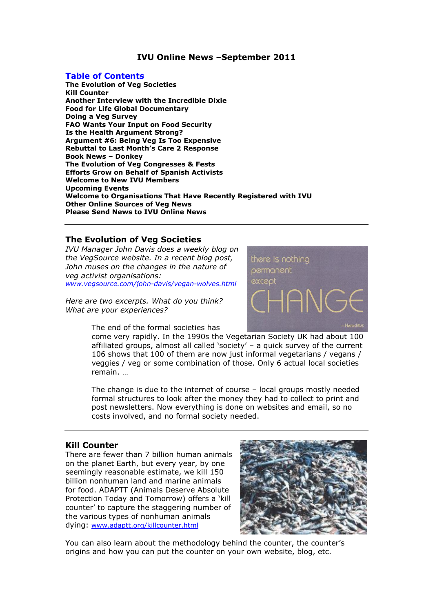# **IVU Online News –September 2011**

### **Table of Contents**

**The Evolution of Veg Societies Kill Counter Another Interview with the Incredible Dixie Food for Life Global Documentary Doing a Veg Survey FAO Wants Your Input on Food Security Is the Health Argument Strong? Argument #6: Being Veg Is Too Expensive Rebuttal to Last Month's Care 2 Response Book News – Donkey The Evolution of Veg Congresses & Fests Efforts Grow on Behalf of Spanish Activists Welcome to New IVU Members Upcoming Events Welcome to Organisations That Have Recently Registered with IVU Other Online Sources of Veg News Please Send News to IVU Online News**

### **The Evolution of Veg Societies**

*IVU Manager John Davis does a weekly blog on the VegSource website. In a recent blog post, John muses on the changes in the nature of veg activist organisations: [www.vegsource.com/john-davis/vegan-wolves.html](http://www.vegsource.com/john-davis/vegan-wolves.html)*

*Here are two excerpts. What do you think? What are your experiences?*



The end of the formal societies has

come very rapidly. In the 1990s the Vegetarian Society UK had about 100 affiliated groups, almost all called 'society'  $-$  a quick survey of the current 106 shows that 100 of them are now just informal vegetarians / vegans / veggies / veg or some combination of those. Only 6 actual local societies remain. …

The change is due to the internet of course – local groups mostly needed formal structures to look after the money they had to collect to print and post newsletters. Now everything is done on websites and email, so no costs involved, and no formal society needed.

# **Kill Counter**

There are fewer than 7 billion human animals on the planet Earth, but every year, by one seemingly reasonable estimate, we kill 150 billion nonhuman land and marine animals for food. ADAPTT (Animals Deserve Absolute Protection Today and Tomorrow) offers a 'kill counter' to capture the staggering number of the various types of nonhuman animals dying: [www.adaptt.org/killcounter.html](http://www.adaptt.org/killcounter.html)



You can also learn about the methodology behind the counter, the counter's origins and how you can put the counter on your own website, blog, etc.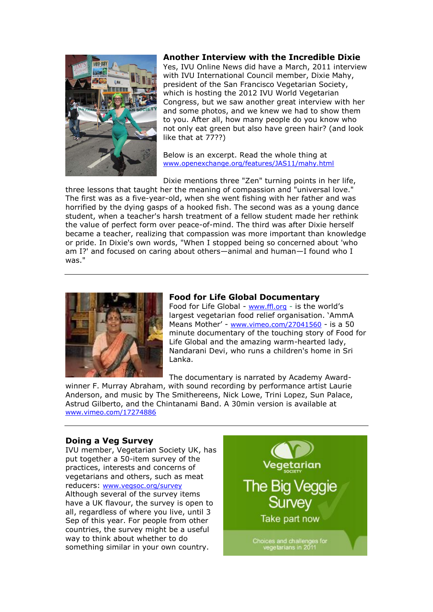

### **Another Interview with the Incredible Dixie**

Yes, IVU Online News did have a March, 2011 interview with IVU International Council member, Dixie Mahy, president of the San Francisco Vegetarian Society, which is hosting the 2012 IVU World Vegetarian Congress, but we saw another great interview with her and some photos, and we knew we had to show them to you. After all, how many people do you know who not only eat green but also have green hair? (and look like that at 77??)

Below is an excerpt. Read the whole thing at [www.openexchange.org/features/JAS11/mahy.html](http://www.openexchange.org/features/JAS11/mahy.html)

Dixie mentions three "Zen" turning points in her life, three lessons that taught her the meaning of compassion and "universal love." The first was as a five-year-old, when she went fishing with her father and was horrified by the dying gasps of a hooked fish. The second was as a young dance student, when a teacher's harsh treatment of a fellow student made her rethink the value of perfect form over peace-of-mind. The third was after Dixie herself became a teacher, realizing that compassion was more important than knowledge or pride. In Dixie's own words, "When I stopped being so concerned about 'who am I?' and focused on caring about others—animal and human—I found who I was."



## **Food for Life Global Documentary**

Food for Life Global - [www.ffl.org](http://www.ffl.org/) - is the world's largest vegetarian food relief organisation. `AmmA Means Mother' - [www.vimeo.com/27041560](http://www.vimeo.com/27041560) - is a 50 minute documentary of the touching story of Food for Life Global and the amazing warm-hearted lady, Nandarani Devi, who runs a children's home in Sri Lanka.

The documentary is narrated by Academy Award-

winner F. Murray Abraham, with sound recording by performance artist Laurie Anderson, and music by The Smithereens, Nick Lowe, Trini Lopez, Sun Palace, Astrud Gilberto, and the Chintanami Band. A 30min version is available at [www.vimeo.com/17274886](http://www.vimeo.com/17274886)

# **Doing a Veg Survey**

IVU member, Vegetarian Society UK, has put together a 50-item survey of the practices, interests and concerns of vegetarians and others, such as meat reducers: [www.vegsoc.org/survey](http://www.vegsoc.org/survey) Although several of the survey items have a UK flavour, the survey is open to all, regardless of where you live, until 3 Sep of this year. For people from other countries, the survey might be a useful way to think about whether to do something similar in your own country.

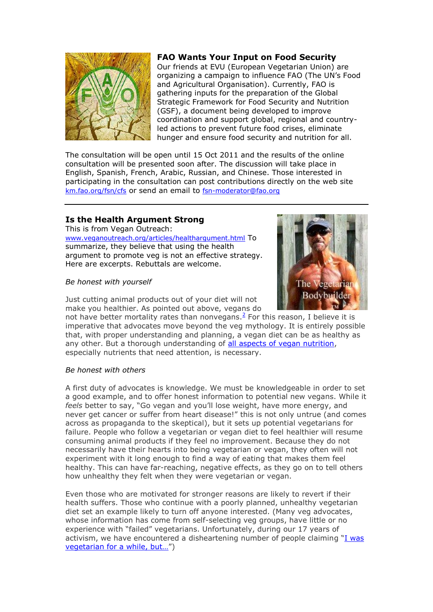

# **FAO Wants Your Input on Food Security**

Our friends at EVU (European Vegetarian Union) are organizing a campaign to influence FAO (The UN's Food and Agricultural Organisation). Currently, FAO is gathering inputs for the preparation of the Global Strategic Framework for Food Security and Nutrition (GSF), a document being developed to improve coordination and support global, regional and countryled actions to prevent future food crises, eliminate hunger and ensure food security and nutrition for all.

The consultation will be open until 15 Oct 2011 and the results of the online consultation will be presented soon after. The discussion will take place in English, Spanish, French, Arabic, Russian, and Chinese. Those interested in participating in the consultation can post contributions directly on the web site [km.fao.org/fsn/cfs](mailto:km.fao.org/fsn/cfs) or send an email to [fsn-moderator@fao.org](mailto:fsn-moderator@fao.org)

# **Is the Health Argument Strong**

This is from Vegan Outreach: [www.veganoutreach.org/articles/healthargument.html](http://www.veganoutreach.org/articles/healthargument.html) To summarize, they believe that using the health argument to promote veg is not an effective strategy. Here are excerpts. Rebuttals are welcome.

# *Be honest with yourself*

Just cutting animal products out of your diet will not make you healthier. As pointed out above, vegans do The Vege **Bodybuilde** 

not have better mortality rates than nonvegans. $<sup>2</sup>$  $<sup>2</sup>$  $<sup>2</sup>$  For this reason, I believe it is</sup> imperative that advocates move beyond the veg mythology. It is entirely possible that, with proper understanding and planning, a vegan diet can be as healthy as any other. But a thorough understanding of [all aspects of vegan nutrition,](http://www.veganhealth.org/) especially nutrients that need attention, is necessary.

# *Be honest with others*

A first duty of advocates is knowledge. We must be knowledgeable in order to set a good example, and to offer honest information to potential new vegans. While it *feels* better to say, "Go vegan and you'll lose weight, have more energy, and never get cancer or suffer from heart disease!" this is not only untrue (and comes across as propaganda to the skeptical), but it sets up potential vegetarians for failure. People who follow a vegetarian or vegan diet to feel healthier will resume consuming animal products if they feel no improvement. Because they do not necessarily have their hearts into being vegetarian or vegan, they often will not experiment with it long enough to find a way of eating that makes them feel healthy. This can have far-reaching, negative effects, as they go on to tell others how unhealthy they felt when they were vegetarian or vegan.

Even those who are motivated for stronger reasons are likely to revert if their health suffers. Those who continue with a poorly planned, unhealthy vegetarian diet set an example likely to turn off anyone interested. (Many veg advocates, whose information has come from self-selecting veg groups, have little or no experience with "failed" vegetarians. Unfortunately, during our 17 years of activism, we have encountered a disheartening number of people claiming "I was vegetarian for a while, but..."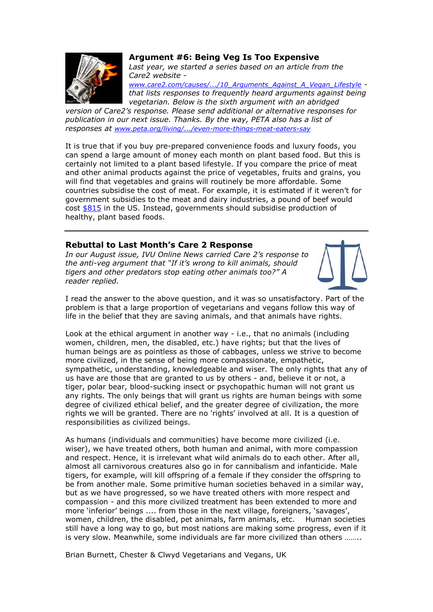

### **Argument #6: Being Veg Is Too Expensive**

*Last year, we started a series based on an article from the Care2 website -*

*[www.care2.com/causes/.../10\\_Arguments\\_Against\\_A\\_Vegan\\_Lifestyle](http://www.care2.com/causes/animal-welfare/blog/10_Arguments_Against_A_Vegan_Lifestyle) that lists responses to frequently heard arguments against being vegetarian. Below is the sixth argument with an abridged* 

*version of Care2's response. Please send additional or alternative responses for publication in our next issue. Thanks. By the way, PETA also has a list of responses at [www.peta.org/living/.../even-more-things-meat-eaters-say](http://www.peta.org/living/vegetarian-living/even-more-things-meat-eaters-say.aspx?c=pap_enews)*

It is true that if you buy pre-prepared convenience foods and luxury foods, you can spend a large amount of money each month on plant based food. But this is certainly not limited to a plant based lifestyle. If you compare the price of meat and other animal products against the price of vegetables, fruits and grains, you will find that vegetables and grains will routinely be more affordable. Some countries subsidise the cost of meat. For example, it is estimated if it weren't for government subsidies to the meat and dairy industries, a pound of beef would cost [\\$815](http://ideas.theatlantic.com/2009/06/tax_meat.php) in the US. Instead, governments should subsidise production of healthy, plant based foods.

## **Rebuttal to Last Month's Care 2 Response**

*In our August issue, IVU Online News carried Care 2's response to the anti-veg argument that "If it's wrong to kill animals, should tigers and other predators stop eating other animals too?" A reader replied.*



I read the answer to the above question, and it was so unsatisfactory. Part of the problem is that a large proportion of vegetarians and vegans follow this way of life in the belief that they are saving animals, and that animals have rights.

Look at the ethical argument in another way - i.e., that no animals (including women, children, men, the disabled, etc.) have rights; but that the lives of human beings are as pointless as those of cabbages, unless we strive to become more civilized, in the sense of being more compassionate, empathetic, sympathetic, understanding, knowledgeable and wiser. The only rights that any of us have are those that are granted to us by others - and, believe it or not, a tiger, polar bear, blood-sucking insect or psychopathic human will not grant us any rights. The only beings that will grant us rights are human beings with some degree of civilized ethical belief, and the greater degree of civilization, the more rights we will be granted. There are no 'rights' involved at all. It is a question of responsibilities as civilized beings.

As humans (individuals and communities) have become more civilized (i.e. wiser), we have treated others, both human and animal, with more compassion and respect. Hence, it is irrelevant what wild animals do to each other. After all, almost all carnivorous creatures also go in for cannibalism and infanticide. Male tigers, for example, will kill offspring of a female if they consider the offspring to be from another male. Some primitive human societies behaved in a similar way, but as we have progressed, so we have treated others with more respect and compassion - and this more civilized treatment has been extended to more and more 'inferior' beings .... from those in the next village, foreigners, 'savages', women, children, the disabled, pet animals, farm animals, etc. Human societies still have a long way to go, but most nations are making some progress, even if it is very slow. Meanwhile, some individuals are far more civilized than others ……..

Brian Burnett, Chester & Clwyd Vegetarians and Vegans, UK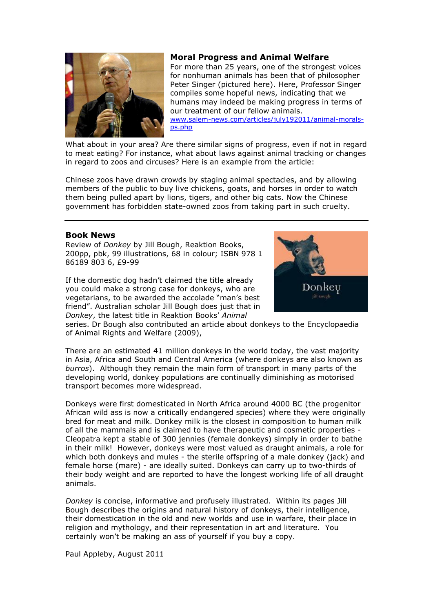# **Moral Progress and Animal Welfare**

For more than 25 years, one of the strongest voices for nonhuman animals has been that of philosopher Peter Singer (pictured here). Here, Professor Singer compiles some hopeful news, indicating that we humans may indeed be making progress in terms of our treatment of our fellow animals. [www.salem-news.com/articles/july192011/animal-morals](http://www.salem-news.com/articles/july192011/animal-morals-ps.php)[ps.php](http://www.salem-news.com/articles/july192011/animal-morals-ps.php)

What about in your area? Are there similar signs of progress, even if not in regard to meat eating? For instance, what about laws against animal tracking or changes in regard to zoos and circuses? Here is an example from the article:

Chinese zoos have drawn crowds by staging animal spectacles, and by allowing members of the public to buy live chickens, goats, and horses in order to watch them being pulled apart by lions, tigers, and other big cats. Now the Chinese government has forbidden state-owned zoos from taking part in such cruelty.

# **Book News**

Review of *Donkey* by Jill Bough, Reaktion Books, 200pp, pbk, 99 illustrations, 68 in colour; ISBN 978 1 86189 803 6, £9-99

If the domestic dog hadn't claimed the title already you could make a strong case for donkeys, who are vegetarians, to be awarded the accolade "man's best friend". Australian scholar Jill Bough does just that in *Donkey*, the latest title in Reaktion Books' *Animal*



series. Dr Bough also contributed an article about donkeys to the Encyclopaedia of Animal Rights and Welfare (2009),

There are an estimated 41 million donkeys in the world today, the vast majority in Asia, Africa and South and Central America (where donkeys are also known as *burros*). Although they remain the main form of transport in many parts of the developing world, donkey populations are continually diminishing as motorised transport becomes more widespread.

Donkeys were first domesticated in North Africa around 4000 BC (the progenitor African wild ass is now a critically endangered species) where they were originally bred for meat and milk. Donkey milk is the closest in composition to human milk of all the mammals and is claimed to have therapeutic and cosmetic properties - Cleopatra kept a stable of 300 jennies (female donkeys) simply in order to bathe in their milk! However, donkeys were most valued as draught animals, a role for which both donkeys and mules - the sterile offspring of a male donkey (jack) and female horse (mare) - are ideally suited. Donkeys can carry up to two-thirds of their body weight and are reported to have the longest working life of all draught animals.

*Donkey* is concise, informative and profusely illustrated. Within its pages Jill Bough describes the origins and natural history of donkeys, their intelligence, their domestication in the old and new worlds and use in warfare, their place in religion and mythology, and their representation in art and literature. You certainly won't be making an ass of yourself if you buy a copy.

Paul Appleby, August 2011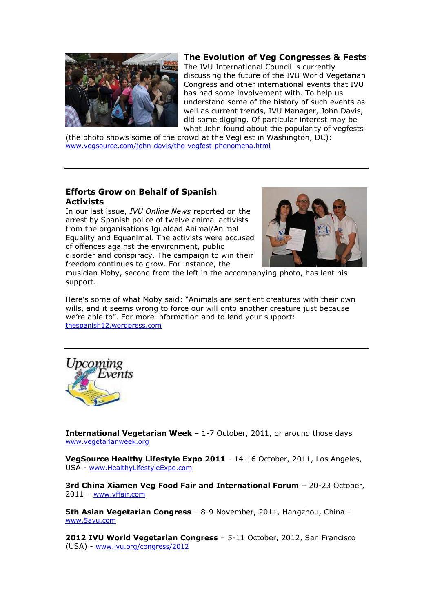

# **The Evolution of Veg Congresses & Fests**

The IVU International Council is currently discussing the future of the IVU World Vegetarian Congress and other international events that IVU has had some involvement with. To help us understand some of the history of such events as well as current trends, IVU Manager, John Davis, did some digging. Of particular interest may be what John found about the popularity of vegfests

(the photo shows some of the crowd at the VegFest in Washington, DC): [www.vegsource.com/john-davis/the-vegfest-phenomena.html](http://www.vegsource.com/john-davis/the-vegfest-phenomena.html)

# **Efforts Grow on Behalf of Spanish Activists**

In our last issue, *IVU Online News* reported on the arrest by Spanish police of twelve animal activists from the organisations Igualdad Animal/Animal Equality and Equanimal. The activists were accused of offences against the environment, public disorder and conspiracy. The campaign to win their freedom continues to grow. For instance, the



musician Moby, second from the left in the accompanying photo, has lent his support.

Here's some of what Moby said: "Animals are sentient creatures with their own wills, and it seems wrong to force our will onto another creature just because we're able to". For more information and to lend your support: [thespanish12.wordpress.com](http://thespanish12.wordpress.com/)



**International Vegetarian Week** – 1-7 October, 2011, or around those days [www.vegetarianweek.org](http://www.vegetarianweek.org/)

**VegSource Healthy Lifestyle Expo 2011** - 14-16 October, 2011, Los Angeles, USA - [www.HealthyLifestyleExpo.com](http://www.healthylifestyleexpo.com/)

**3rd China Xiamen Veg Food Fair and International Forum** – 20-23 October, 2011 – [www.vffair.com](http://www.vffair.com/)

**5th Asian Vegetarian Congress** – 8-9 November, 2011, Hangzhou, China [www.5avu.com](http://www.5avu.com/)

**2012 IVU World Vegetarian Congress** – 5-11 October, 2012, San Francisco (USA) - [www.ivu.org/congress/2012](http://www.ivu.org/congress/2012)